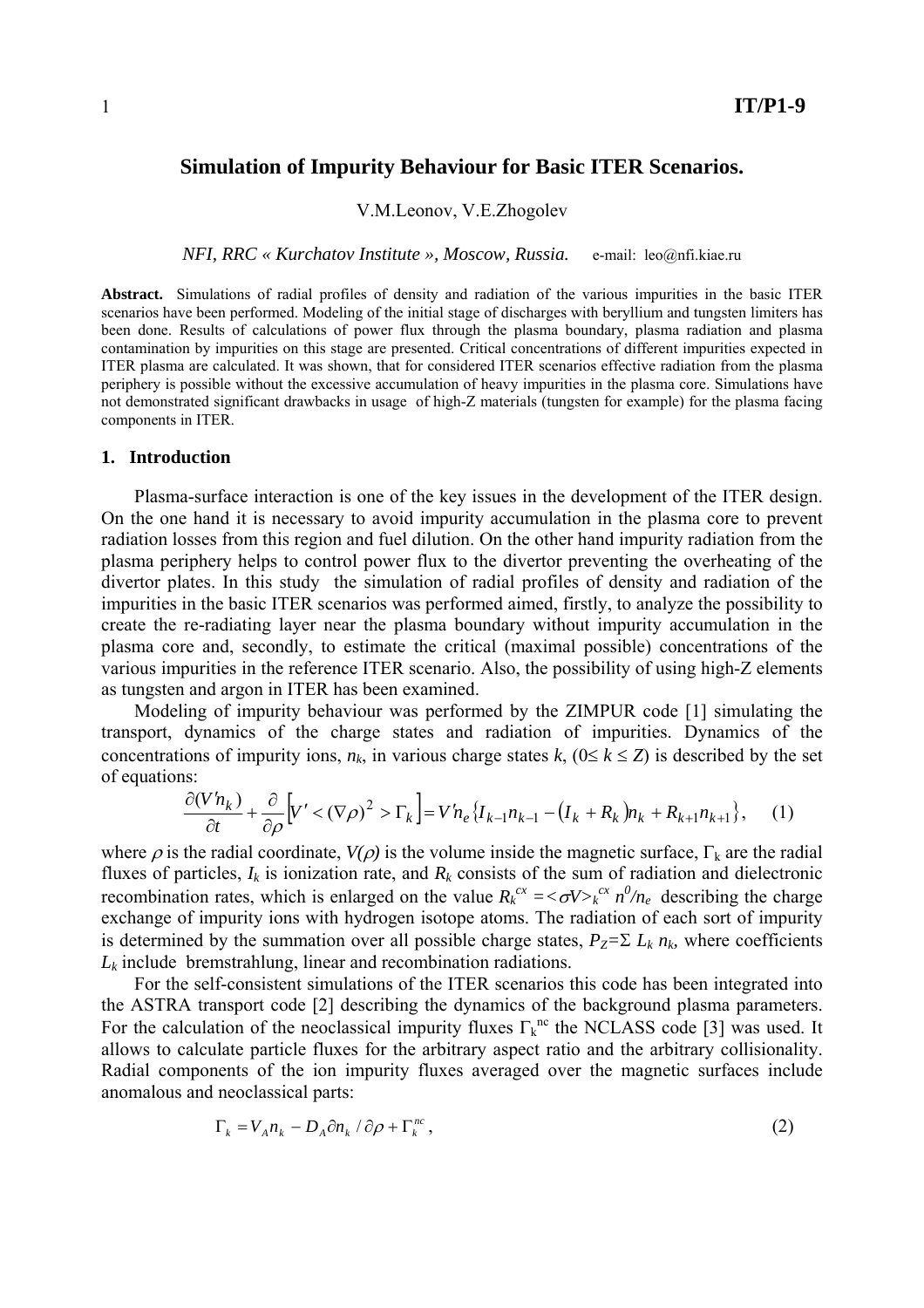## **Simulation of Impurity Behaviour for Basic ITER Scenarios.**

V.M.Leonov, V.E.Zhogolev

*NFI, RRC « Kurchatov Institute », Moscow, Russia.* e-mail: leo@nfi.kiae.ru

**Abstract.** Simulations of radial profiles of density and radiation of the various impurities in the basic ITER scenarios have been performed. Modeling of the initial stage of discharges with beryllium and tungsten limiters has been done. Results of calculations of power flux through the plasma boundary, plasma radiation and plasma contamination by impurities on this stage are presented. Critical concentrations of different impurities expected in ITER plasma are calculated. It was shown, that for considered ITER scenarios effective radiation from the plasma periphery is possible without the excessive accumulation of heavy impurities in the plasma core. Simulations have not demonstrated significant drawbacks in usage of high-Z materials (tungsten for example) for the plasma facing components in ITER.

#### **1. Introduction**

Plasma-surface interaction is one of the key issues in the development of the ITER design. On the one hand it is necessary to avoid impurity accumulation in the plasma core to prevent radiation losses from this region and fuel dilution. On the other hand impurity radiation from the plasma periphery helps to control power flux to the divertor preventing the overheating of the divertor plates. In this study the simulation of radial profiles of density and radiation of the impurities in the basic ITER scenarios was performed aimed, firstly, to analyze the possibility to create the re-radiating layer near the plasma boundary without impurity accumulation in the plasma core and, secondly, to estimate the critical (maximal possible) concentrations of the various impurities in the reference ITER scenario. Also, the possibility of using high-Z elements as tungsten and argon in ITER has been examined.

Modeling of impurity behaviour was performed by the ZIMPUR code [1] simulating the transport, dynamics of the charge states and radiation of impurities. Dynamics of the concentrations of impurity ions,  $n_k$ , in various charge states  $k$ , ( $0 \le k \le Z$ ) is described by the set of equations:

$$
\frac{\partial (V'h_k)}{\partial t} + \frac{\partial}{\partial \rho} \Big[ V' < (\nabla \rho)^2 > \Gamma_k \Big] = V'h_e \left\{ I_{k-1}h_{k-1} - \left( I_k + R_k \right) h_k + R_{k+1}h_{k+1} \right\},\tag{1}
$$

where  $\rho$  is the radial coordinate,  $V(\rho)$  is the volume inside the magnetic surface,  $\Gamma_k$  are the radial fluxes of particles,  $I_k$  is ionization rate, and  $R_k$  consists of the sum of radiation and dielectronic recombination rates, which is enlarged on the value  $R_k^{c\alpha} = \langle \sigma V \rangle_k^{c\alpha} n^0/n_e$  describing the charge exchange of impurity ions with hydrogen isotope atoms. The radiation of each sort of impurity is determined by the summation over all possible charge states,  $P_Z = \sum L_k n_k$ , where coefficients  $L_k$  include bremstrahlung, linear and recombination radiations.

For the self-consistent simulations of the ITER scenarios this code has been integrated into the ASTRA transport code [2] describing the dynamics of the background plasma parameters. For the calculation of the neoclassical impurity fluxes  $\Gamma_k^{nc}$  the NCLASS code [3] was used. It allows to calculate particle fluxes for the arbitrary aspect ratio and the arbitrary collisionality. Radial components of the ion impurity fluxes averaged over the magnetic surfaces include anomalous and neoclassical parts:

$$
\Gamma_k = V_A n_k - D_A \partial n_k / \partial \rho + \Gamma_k^{nc}, \qquad (2)
$$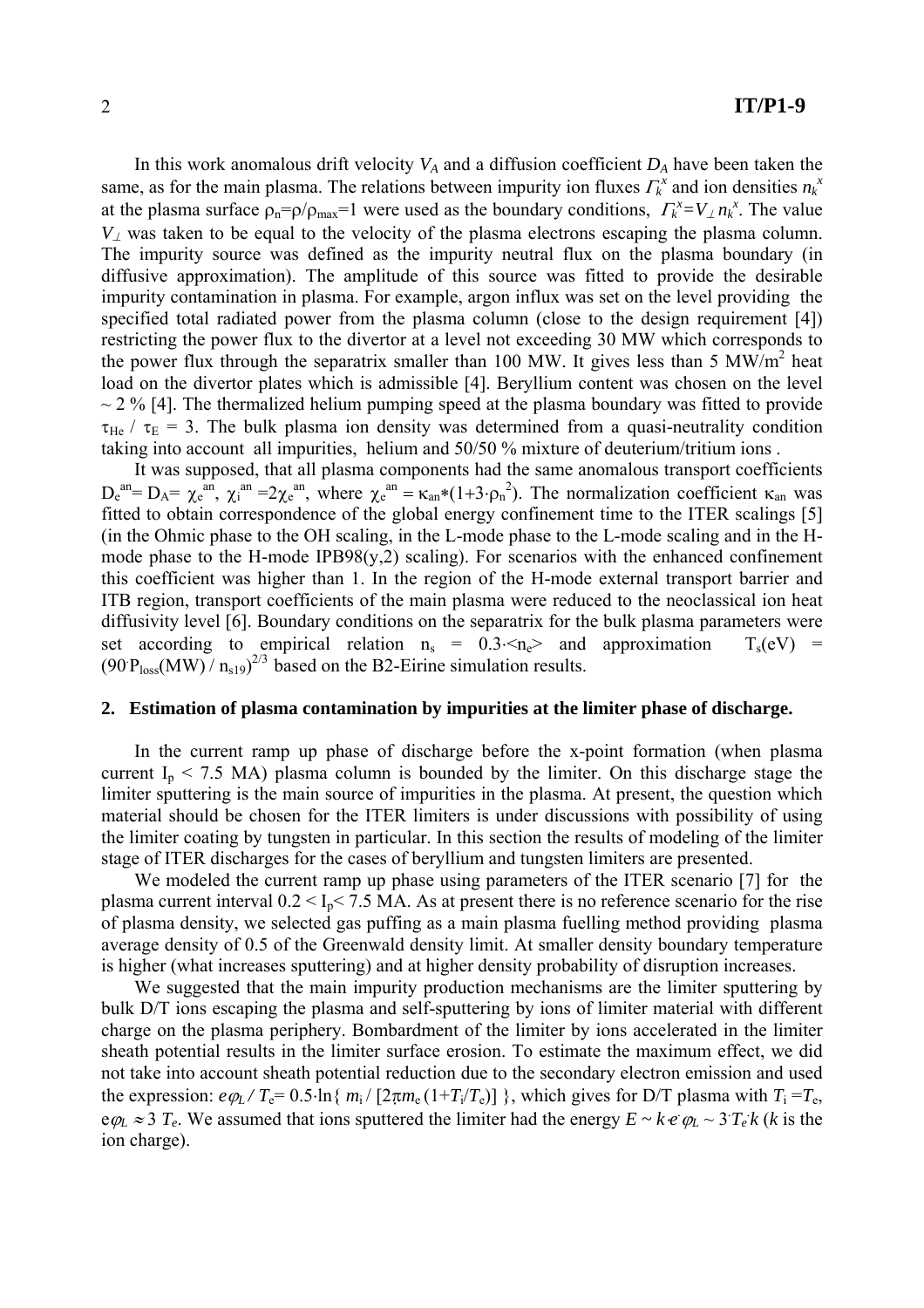In this work anomalous drift velocity  $V_A$  and a diffusion coefficient  $D_A$  have been taken the same, as for the main plasma. The relations between impurity ion fluxes  $\Gamma_k^x$  and ion densities  $n_k^x$ at the plasma surface  $\rho_n = \rho / \rho_{max} = 1$  were used as the boundary conditions,  $\Gamma_k^x = V_{\perp} n_k^x$ . The value  $V_{\perp}$  was taken to be equal to the velocity of the plasma electrons escaping the plasma column. The impurity source was defined as the impurity neutral flux on the plasma boundary (in diffusive approximation). The amplitude of this source was fitted to provide the desirable impurity contamination in plasma. For example, argon influx was set on the level providing the specified total radiated power from the plasma column (close to the design requirement [4]) restricting the power flux to the divertor at a level not exceeding 30 МW which corresponds to the power flux through the separatrix smaller than 100 MW. It gives less than 5 MW/m<sup>2</sup> heat load on the divertor plates which is admissible [4]. Beryllium content was chosen on the level  $\sim$  2 % [4]. The thermalized helium pumping speed at the plasma boundary was fitted to provide  $\tau_{He}$  /  $\tau_{E}$  = 3. The bulk plasma ion density was determined from a quasi-neutrality condition taking into account all impurities, helium and 50/50 % mixture of deuterium/tritium ions .

It was supposed, that all plasma components had the same anomalous transport coefficients  $D_e^{an} = D_A = \chi_e^{an}$ ,  $\chi_i^{an} = 2\chi_e^{an}$ , where  $\chi_e^{an} = \kappa_{an}*(1+3 \cdot \rho_n^2)$ . The normalization coefficient  $\kappa_{an}$  was fitted to obtain correspondence of the global energy confinement time to the ITER scalings [5] (in the Ohmic phase to the OH scaling, in the L-mode phase to the L-mode scaling and in the Hmode phase to the H-mode IPB98( $y, 2$ ) scaling). For scenarios with the enhanced confinement this coefficient was higher than 1. In the region of the H-mode external transport barrier and ITB region, transport coefficients of the main plasma were reduced to the neoclassical ion heat diffusivity level [6]. Boundary conditions on the separatrix for the bulk plasma parameters were set according to empirical relation  $n_s = 0.3 \le n_e$  and approximation  $T_s(eV)$  =  $(90 P<sub>loss</sub>(MW) / n<sub>s19</sub>)<sup>2/3</sup>$  based on the B2-Eirine simulation results.

### **2. Estimation of plasma contamination by impurities at the limiter phase of discharge.**

In the current ramp up phase of discharge before the x-point formation (when plasma current  $I_p < 7.5$  MA) plasma column is bounded by the limiter. On this discharge stage the limiter sputtering is the main source of impurities in the plasma. At present, the question which material should be chosen for the ITER limiters is under discussions with possibility of using the limiter coating by tungsten in particular. In this section the results of modeling of the limiter stage of ITER discharges for the cases of beryllium and tungsten limiters are presented.

We modeled the current ramp up phase using parameters of the ITER scenario [7] for the plasma current interval  $0.2 < I_p < 7.5$  MA. As at present there is no reference scenario for the rise of plasma density, we selected gas puffing as a main plasma fuelling method providing plasma average density of 0.5 of the Greenwald density limit. At smaller density boundary temperature is higher (what increases sputtering) and at higher density probability of disruption increases.

We suggested that the main impurity production mechanisms are the limiter sputtering by bulk D/T ions escaping the plasma and self-sputtering by ions of limiter material with different charge on the plasma periphery. Bombardment of the limiter by ions accelerated in the limiter sheath potential results in the limiter surface erosion. To estimate the maximum effect, we did not take into account sheath potential reduction due to the secondary electron emission and used the expression:  $e\varphi_L/T_e= 0.5\cdot \ln\{m_i/[2\pi m_e(1+T_i/T_e)]\}$ , which gives for D/T plasma with  $T_i=T_e$ ,  $\epsilon \varphi_L \approx 3$  *T<sub>e</sub>*. We assumed that ions sputtered the limiter had the energy  $E \sim k \cdot e \varphi_L \sim 3 T_e k$  (*k* is the ion charge).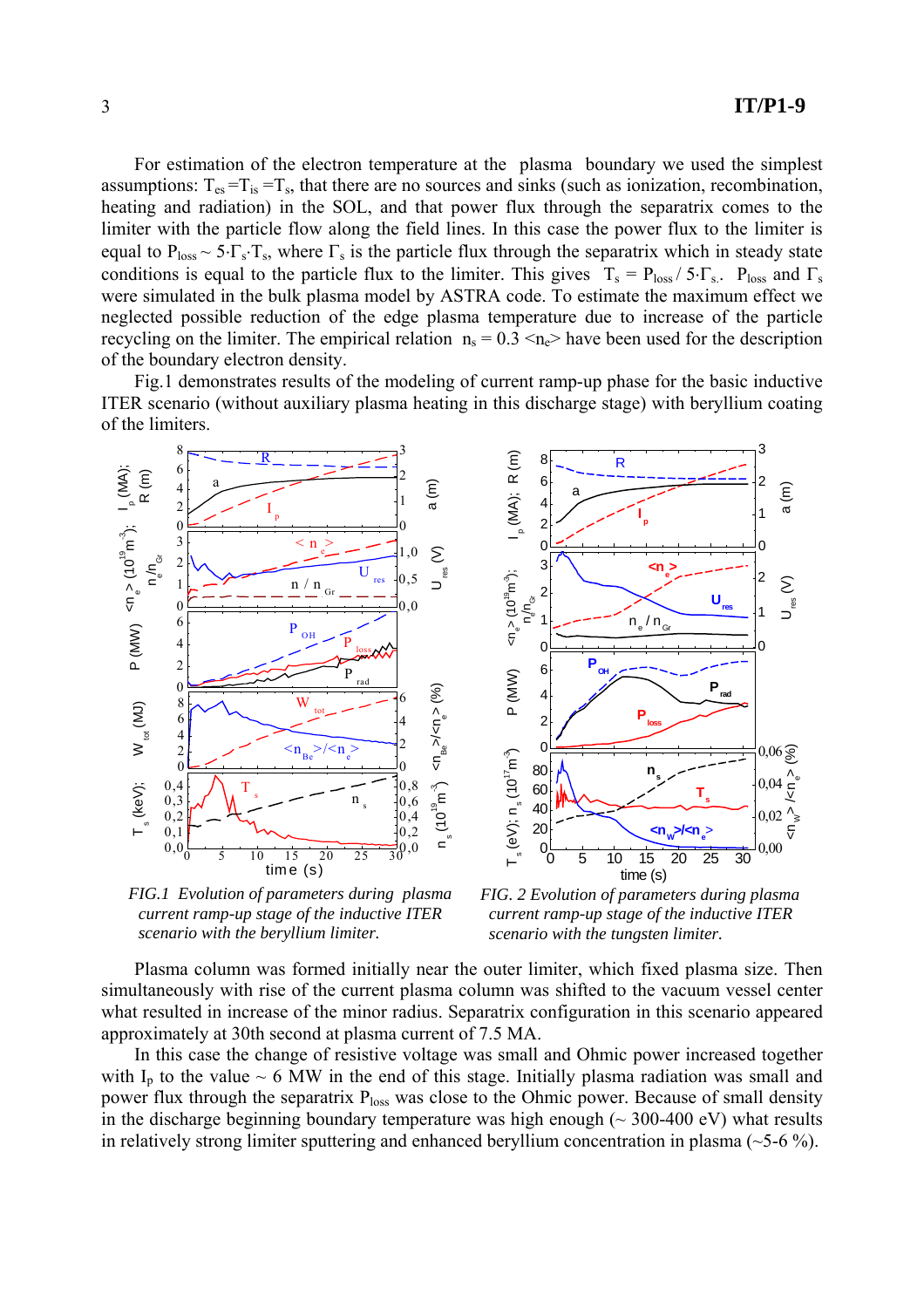3

For estimation of the electron temperature at the plasma boundary we used the simplest assumptions:  $T_{es} = T_{is} = T_s$ , that there are no sources and sinks (such as ionization, recombination, heating and radiation) in the SOL, and that power flux through the separatrix comes to the limiter with the particle flow along the field lines. In this case the power flux to the limiter is equal to  $P_{loss} \sim 5 \cdot \Gamma_s \cdot T_s$ , where  $\Gamma_s$  is the particle flux through the separatrix which in steady state conditions is equal to the particle flux to the limiter. This gives  $T_s = P_{loss}/5 \cdot \Gamma_{s}$ .  $P_{loss}$  and  $\Gamma_s$ were simulated in the bulk plasma model by ASTRA code. To estimate the maximum effect we neglected possible reduction of the edge plasma temperature due to increase of the particle recycling on the limiter. The empirical relation  $n_s = 0.3 \le n_e$  have been used for the description of the boundary electron density.

Fig.1 demonstrates results of the modeling of current ramp-up phase for the basic inductive ITER scenario (without auxiliary plasma heating in this discharge stage) with beryllium coating of the limiters.

8



*FIG.1 Evolution of parameters during plasma current ramp-up stage of the inductive ITER scenario with the beryllium limiter.*



R

*FIG. 2 Evolution of parameters during plasma current ramp-up stage of the inductive ITER scenario with the tungsten limiter.*

Plasma column was formed initially near the outer limiter, which fixed plasma size. Then simultaneously with rise of the current plasma column was shifted to the vacuum vessel center what resulted in increase of the minor radius. Separatrix configuration in this scenario appeared approximately at 30th second at plasma current of 7.5 MA.

In this case the change of resistive voltage was small and Ohmic power increased together with  $I_p$  to the value  $\sim 6$  MW in the end of this stage. Initially plasma radiation was small and power flux through the separatrix Ploss was close to the Ohmic power. Because of small density in the discharge beginning boundary temperature was high enough  $(\sim 300{\text -}400 \text{ eV})$  what results in relatively strong limiter sputtering and enhanced beryllium concentration in plasma (~5-6 %).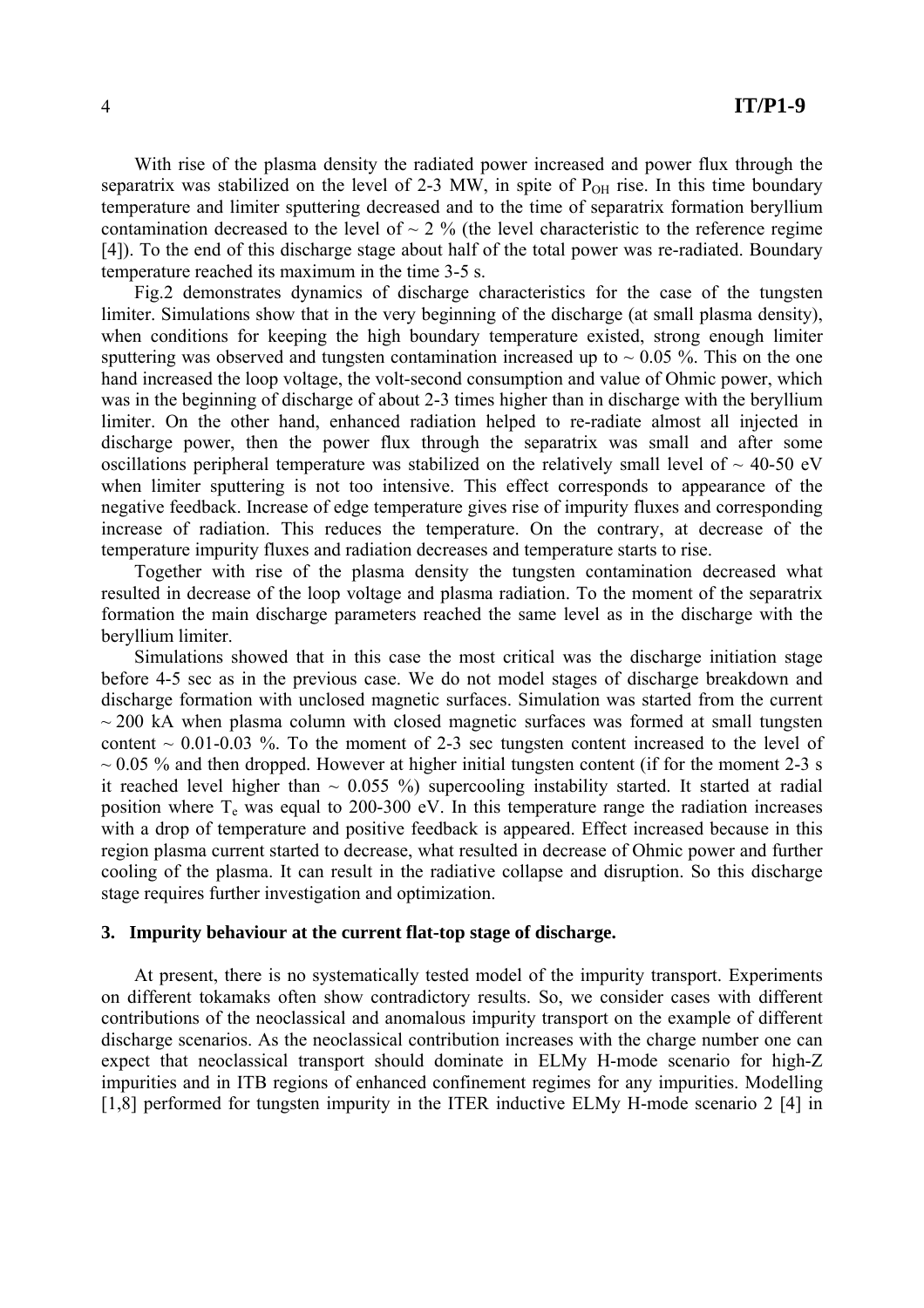With rise of the plasma density the radiated power increased and power flux through the separatrix was stabilized on the level of 2-3 MW, in spite of  $P<sub>OH</sub>$  rise. In this time boundary temperature and limiter sputtering decreased and to the time of separatrix formation beryllium contamination decreased to the level of  $\sim$  2 % (the level characteristic to the reference regime [4]). To the end of this discharge stage about half of the total power was re-radiated. Boundary temperature reached its maximum in the time 3-5 s.

Fig.2 demonstrates dynamics of discharge characteristics for the case of the tungsten limiter. Simulations show that in the very beginning of the discharge (at small plasma density), when conditions for keeping the high boundary temperature existed, strong enough limiter sputtering was observed and tungsten contamination increased up to  $\sim 0.05$  %. This on the one hand increased the loop voltage, the volt-second consumption and value of Ohmic power, which was in the beginning of discharge of about 2-3 times higher than in discharge with the beryllium limiter. On the other hand, enhanced radiation helped to re-radiate almost all injected in discharge power, then the power flux through the separatrix was small and after some oscillations peripheral temperature was stabilized on the relatively small level of  $\sim$  40-50 eV when limiter sputtering is not too intensive. This effect corresponds to appearance of the negative feedback. Increase of edge temperature gives rise of impurity fluxes and corresponding increase of radiation. This reduces the temperature. On the contrary, at decrease of the temperature impurity fluxes and radiation decreases and temperature starts to rise.

Together with rise of the plasma density the tungsten contamination decreased what resulted in decrease of the loop voltage and plasma radiation. To the moment of the separatrix formation the main discharge parameters reached the same level as in the discharge with the beryllium limiter.

Simulations showed that in this case the most critical was the discharge initiation stage before 4-5 sec as in the previous case. We do not model stages of discharge breakdown and discharge formation with unclosed magnetic surfaces. Simulation was started from the current  $\sim$  200 kA when plasma column with closed magnetic surfaces was formed at small tungsten content  $\sim 0.01$ -0.03 %. To the moment of 2-3 sec tungsten content increased to the level of  $\sim$  0.05 % and then dropped. However at higher initial tungsten content (if for the moment 2-3 s it reached level higher than  $\sim 0.055$  %) supercooling instability started. It started at radial position where  $T_e$  was equal to 200-300 eV. In this temperature range the radiation increases with a drop of temperature and positive feedback is appeared. Effect increased because in this region plasma current started to decrease, what resulted in decrease of Ohmic power and further cooling of the plasma. It can result in the radiative collapse and disruption. So this discharge stage requires further investigation and optimization.

### **3. Impurity behaviour at the current flat-top stage of discharge.**

At present, there is no systematically tested model of the impurity transport. Experiments on different tokamaks often show contradictory results. So, we consider cases with different contributions of the neoclassical and anomalous impurity transport on the example of different discharge scenarios. As the neoclassical contribution increases with the charge number one can expect that neoclassical transport should dominate in ELMy H-mode scenario for high-Z impurities and in ITB regions of enhanced confinement regimes for any impurities. Modelling [1,8] performed for tungsten impurity in the ITER inductive ELMy H-mode scenario 2 [4] in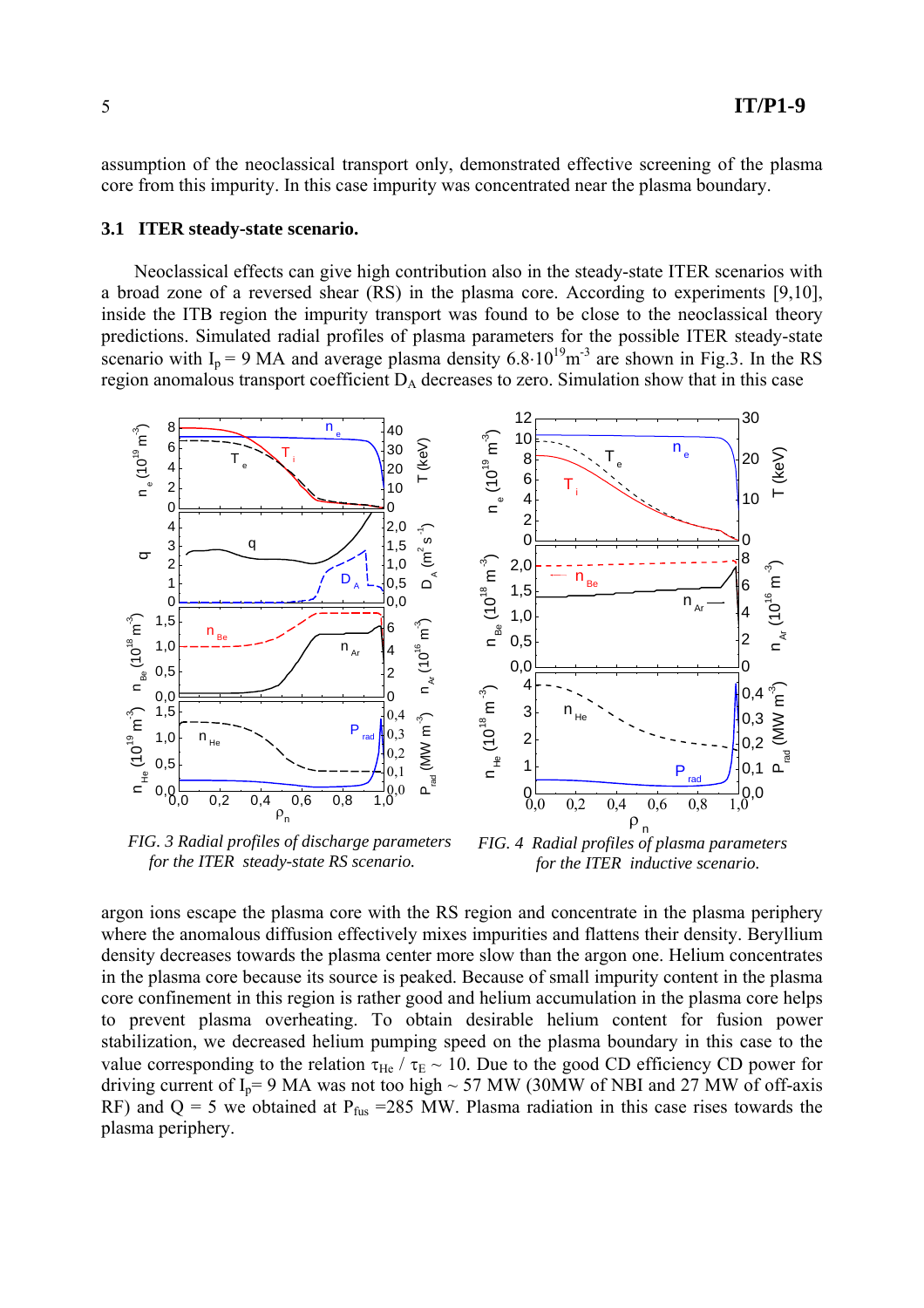assumption of the neoclassical transport only, demonstrated effective screening of the plasma core from this impurity. In this case impurity was concentrated near the plasma boundary.

### **3.1 ITER steady-state scenario.**

Neoclassical effects can give high contribution also in the steady-state ITER scenarios with a broad zone of a reversed shear (RS) in the plasma core. According to experiments [9,10], inside the ITB region the impurity transport was found to be close to the neoclassical theory predictions. Simulated radial profiles of plasma parameters for the possible ITER steady-state scenario with  $I_p = 9$  MA and average plasma density 6.8⋅10<sup>19</sup>m<sup>-3</sup> are shown in Fig.3. In the RS region anomalous transport coefficient  $D_A$  decreases to zero. Simulation show that in this case



*FIG. 3 Radial profiles of discharge parameters for the ITER steady-state RS scenario.*

*FIG. 4 Radial profiles of plasma parameters for the ITER inductive scenario.*

argon ions escape the plasma core with the RS region and concentrate in the plasma periphery where the anomalous diffusion effectively mixes impurities and flattens their density. Beryllium density decreases towards the plasma center more slow than the argon one. Helium concentrates in the plasma core because its source is peaked. Because of small impurity content in the plasma core confinement in this region is rather good and helium accumulation in the plasma core helps to prevent plasma overheating. To obtain desirable helium content for fusion power stabilization, we decreased helium pumping speed on the plasma boundary in this case to the value corresponding to the relation  $\tau_{He}$  /  $\tau_{E}$  ~ 10. Due to the good CD efficiency CD power for driving current of  $I_p$ = 9 MA was not too high  $\sim$  57 MW (30MW of NBI and 27 MW of off-axis RF) and  $Q = 5$  we obtained at  $P_{fus} = 285$  MW. Plasma radiation in this case rises towards the plasma periphery.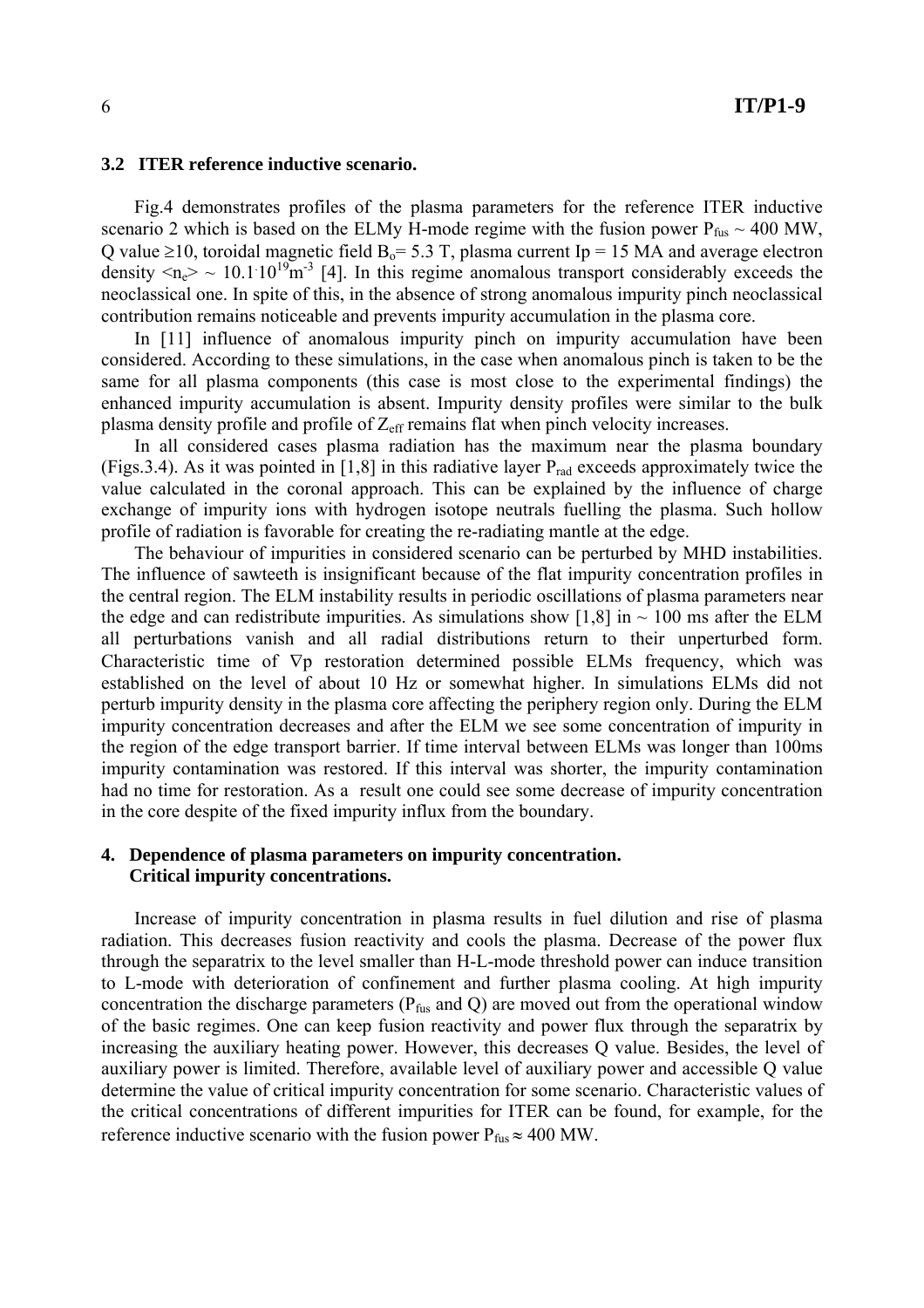#### **3.2 ITER reference inductive scenario.**

Fig.4 demonstrates profiles of the plasma parameters for the reference ITER inductive scenario 2 which is based on the ELMy H-mode regime with the fusion power  $P_{fus} \sim 400 \text{ MW}$ , Q value ≥10, toroidal magnetic field  $B_0$ = 5.3 T, plasma current Ip = 15 MA and average electron density  $\langle n_e \rangle \sim 10.1 \cdot 10^{19} \text{m}^{-3}$  [4]. In this regime anomalous transport considerably exceeds the neoclassical one. In spite of this, in the absence of strong anomalous impurity pinch neoclassical contribution remains noticeable and prevents impurity accumulation in the plasma core.

In [11] influence of anomalous impurity pinch on impurity accumulation have been considered. According to these simulations, in the case when anomalous pinch is taken to be the same for all plasma components (this case is most close to the experimental findings) the enhanced impurity accumulation is absent. Impurity density profiles were similar to the bulk plasma density profile and profile of  $Z_{\text{eff}}$  remains flat when pinch velocity increases.

In all considered cases plasma radiation has the maximum near the plasma boundary (Figs. 3.4). As it was pointed in [1,8] in this radiative layer  $P_{rad}$  exceeds approximately twice the value calculated in the coronal approach. This can be explained by the influence of charge exchange of impurity ions with hydrogen isotope neutrals fuelling the plasma. Such hollow profile of radiation is favorable for creating the re-radiating mantle at the edge.

The behaviour of impurities in considered scenario can be perturbed by MHD instabilities. The influence of sawteeth is insignificant because of the flat impurity concentration profiles in the central region. The ELM instability results in periodic oscillations of plasma parameters near the edge and can redistribute impurities. As simulations show [1,8] in  $\sim$  100 ms after the ELM all perturbations vanish and all radial distributions return to their unperturbed form. Characteristic time of ∇p restoration determined possible ELMs frequency, which was established on the level of about 10 Hz or somewhat higher. In simulations ELMs did not perturb impurity density in the plasma core affecting the periphery region only. During the ELM impurity concentration decreases and after the ELM we see some concentration of impurity in the region of the edge transport barrier. If time interval between ELMs was longer than 100ms impurity contamination was restored. If this interval was shorter, the impurity contamination had no time for restoration. As a result one could see some decrease of impurity concentration in the core despite of the fixed impurity influx from the boundary.

### **4. Dependence of plasma parameters on impurity concentration. Critical impurity concentrations.**

Increase of impurity concentration in plasma results in fuel dilution and rise of plasma radiation. This decreases fusion reactivity and cools the plasma. Decrease of the power flux through the separatrix to the level smaller than H-L-mode threshold power can induce transition to L-mode with deterioration of confinement and further plasma cooling. At high impurity concentration the discharge parameters ( $P_{fus}$  and Q) are moved out from the operational window of the basic regimes. One can keep fusion reactivity and power flux through the separatrix by increasing the auxiliary heating power. However, this decreases Q value. Besides, the level of auxiliary power is limited. Therefore, available level of auxiliary power and accessible Q value determine the value of critical impurity concentration for some scenario. Characteristic values of the critical concentrations of different impurities for ITER can be found, for example, for the reference inductive scenario with the fusion power  $P_{fus} \approx 400 \text{ MW}$ .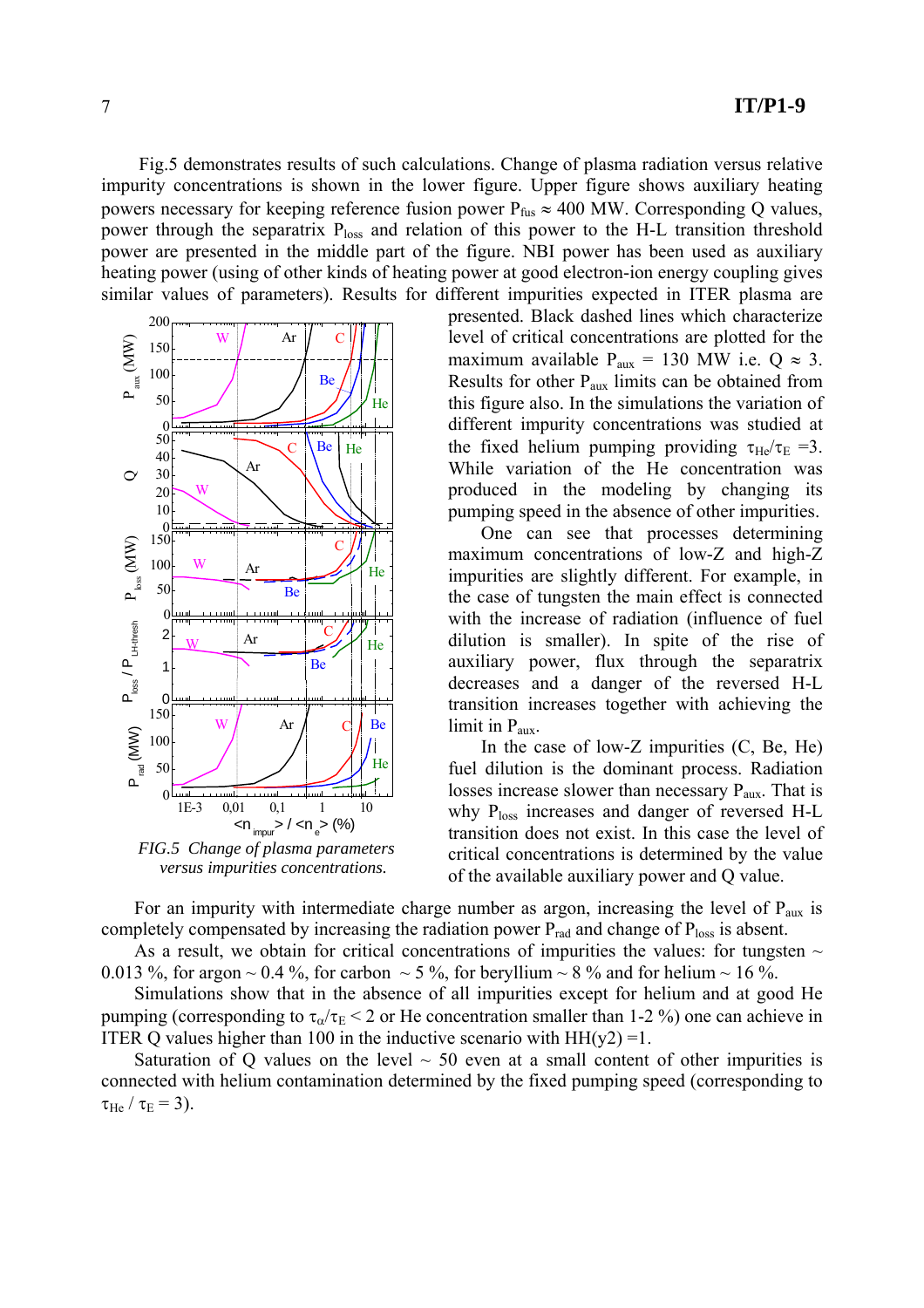Fig.5 demonstrates results of such calculations. Change of plasma radiation versus relative impurity concentrations is shown in the lower figure. Upper figure shows auxiliary heating powers necessary for keeping reference fusion power  $P_{fus} \approx 400 \text{ MW}$ . Corresponding Q values, power through the separatrix  $P_{loss}$  and relation of this power to the H-L transition threshold power are presented in the middle part of the figure. NBI power has been used as auxiliary heating power (using of other kinds of heating power at good electron-ion energy coupling gives similar values of parameters). Results for different impurities expected in ITER plasma are



 *versus impurities concentrations.*

presented. Black dashed lines which characterize level of critical concentrations are plotted for the maximum available  $P_{aux} = 130$  MW i.e.  $Q \approx 3$ . Results for other Paux limits can be obtained from this figure also. In the simulations the variation of different impurity concentrations was studied at the fixed helium pumping providing  $\tau_{He}/\tau_{E} = 3$ . While variation of the He concentration was produced in the modeling by changing its pumping speed in the absence of other impurities.

One can see that processes determining maximum concentrations of low-Z and high-Z impurities are slightly different. For example, in the case of tungsten the main effect is connected with the increase of radiation (influence of fuel dilution is smaller). In spite of the rise of auxiliary power, flux through the separatrix decreases and a danger of the reversed H-L transition increases together with achieving the limit in  $P_{\text{aux}}$ .

In the case of low-Z impurities  $(C, Be, He)$ fuel dilution is the dominant process. Radiation losses increase slower than necessary  $P_{\text{aux}}$ . That is why  $P_{loss}$  increases and danger of reversed H-L transition does not exist. In this case the level of critical concentrations is determined by the value of the available auxiliary power and Q value.

For an impurity with intermediate charge number as argon, increasing the level of  $P_{\text{aux}}$  is completely compensated by increasing the radiation power  $P_{rad}$  and change of  $P_{loss}$  is absent.

As a result, we obtain for critical concentrations of impurities the values: for tungsten  $\sim$ 0.013 %, for argon  $\sim$  0.4 %, for carbon  $\sim$  5 %, for beryllium  $\sim$  8 % and for helium  $\sim$  16 %.

Simulations show that in the absence of all impurities except for helium and at good He pumping (corresponding to  $\tau_{\alpha}/\tau_{E}$  < 2 or He concentration smaller than 1-2 %) one can achieve in ITER Q values higher than 100 in the inductive scenario with  $HH(y2) = 1$ .

Saturation of Q values on the level  $\sim$  50 even at a small content of other impurities is connected with helium contamination determined by the fixed pumping speed (corresponding to  $\tau_{\text{He}} / \tau_{\text{E}} = 3$ ).